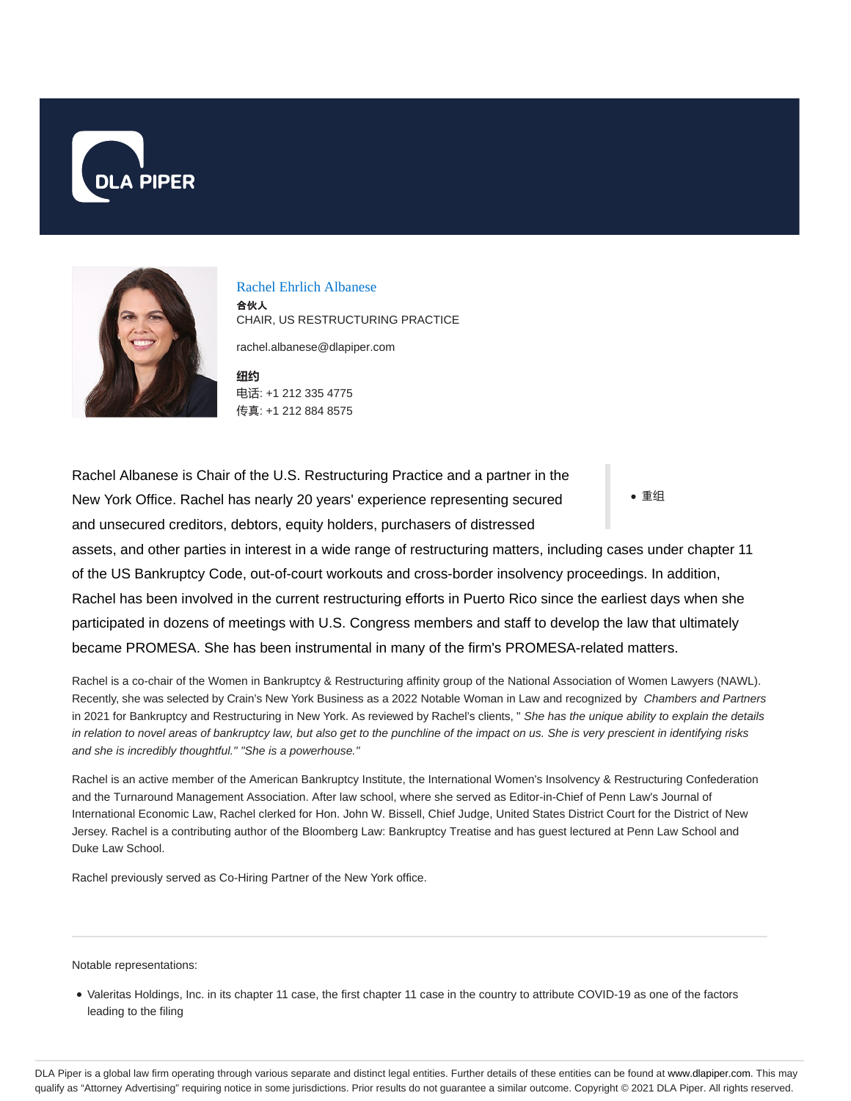



Rachel Ehrlich Albanese 合伙人 CHAIR, US RESTRUCTURING PRACTICE rachel.albanese@dlapiper.com

**纽约** 电话: +1 212 335 4775 传真: +1 212 884 8575

重组 Rachel Albanese is Chair of the U.S. Restructuring Practice and a partner in the New York Office. Rachel has nearly 20 years' experience representing secured and unsecured creditors, debtors, equity holders, purchasers of distressed assets, and other parties in interest in a wide range of restructuring matters, including cases under chapter 11 of the US Bankruptcy Code, out-of-court workouts and cross-border insolvency proceedings. In addition,

Rachel has been involved in the current restructuring efforts in Puerto Rico since the earliest days when she participated in dozens of meetings with U.S. Congress members and staff to develop the law that ultimately became PROMESA. She has been instrumental in many of the firm's PROMESA-related matters.

Rachel is a co-chair of the Women in Bankruptcy & Restructuring affinity group of the National Association of Women Lawyers (NAWL). Recently, she was selected by Crain's New York Business as a 2022 Notable Woman in Law and recognized by Chambers and Partners in 2021 for Bankruptcy and Restructuring in New York. As reviewed by Rachel's clients, " She has the unique ability to explain the details in relation to novel areas of bankruptcy law, but also get to the punchline of the impact on us. She is very prescient in identifying risks and she is incredibly thoughtful." "She is a powerhouse."

Rachel is an active member of the American Bankruptcy Institute, the International Women's Insolvency & Restructuring Confederation and the Turnaround Management Association. After law school, where she served as Editor-in-Chief of Penn Law's Journal of International Economic Law, Rachel clerked for Hon. John W. Bissell, Chief Judge, United States District Court for the District of New Jersey. Rachel is a contributing author of the Bloomberg Law: Bankruptcy Treatise and has guest lectured at Penn Law School and Duke Law School.

Rachel previously served as Co-Hiring Partner of the New York office.

Notable representations:

Valeritas Holdings, Inc. in its chapter 11 case, the first chapter 11 case in the country to attribute COVID-19 as one of the factors leading to the filing

DLA Piper is a global law firm operating through various separate and distinct legal entities. Further details of these entities can be found at www.dlapiper.com. This may qualify as "Attorney Advertising" requiring notice in some jurisdictions. Prior results do not guarantee a similar outcome. Copyright © 2021 DLA Piper. All rights reserved.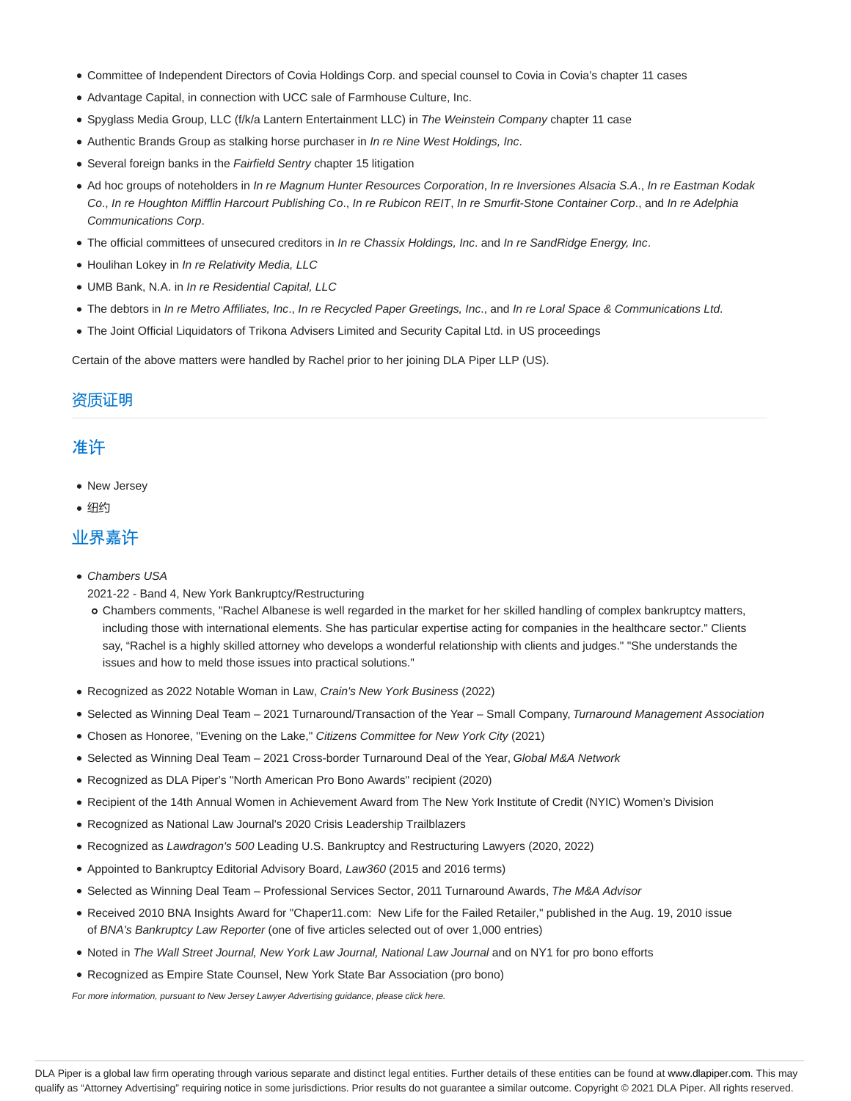- Committee of Independent Directors of Covia Holdings Corp. and special counsel to Covia in Covia's chapter 11 cases
- Advantage Capital, in connection with UCC sale of Farmhouse Culture, Inc.
- Spyglass Media Group, LLC (f/k/a Lantern Entertainment LLC) in The Weinstein Company chapter 11 case
- Authentic Brands Group as stalking horse purchaser in In re Nine West Holdings, Inc.
- Several foreign banks in the Fairfield Sentry chapter 15 litigation
- Ad hoc groups of noteholders in In re Magnum Hunter Resources Corporation, In re Inversiones Alsacia S.A., In re Eastman Kodak Co., In re Houghton Mifflin Harcourt Publishing Co., In re Rubicon REIT, In re Smurfit-Stone Container Corp., and In re Adelphia Communications Corp.
- . The official committees of unsecured creditors in In re Chassix Holdings, Inc. and In re SandRidge Energy, Inc.
- Houlihan Lokey in In re Relativity Media, LLC
- UMB Bank, N.A. in In re Residential Capital, LLC
- The debtors in In re Metro Affiliates, Inc., In re Recycled Paper Greetings, Inc., and In re Loral Space & Communications Ltd.
- The Joint Official Liquidators of Trikona Advisers Limited and Security Capital Ltd. in US proceedings

Certain of the above matters were handled by Rachel prior to her joining DLA Piper LLP (US).

### 资质证明

### 准许

- New Jersey
- 纽约

### 业界嘉许

- Chambers USA
- 2021-22 Band 4, New York Bankruptcy/Restructuring
- Chambers comments, "Rachel Albanese is well regarded in the market for her skilled handling of complex bankruptcy matters, including those with international elements. She has particular expertise acting for companies in the healthcare sector." Clients say, "Rachel is a highly skilled attorney who develops a wonderful relationship with clients and judges." "She understands the issues and how to meld those issues into practical solutions."
- Recognized as 2022 Notable Woman in Law, Crain's New York Business (2022)
- Selected as Winning Deal Team 2021 Turnaround/Transaction of the Year Small Company, Turnaround Management Association
- Chosen as Honoree, "Evening on the Lake," Citizens Committee for New York City (2021)
- Selected as Winning Deal Team 2021 Cross-border Turnaround Deal of the Year, Global M&A Network
- Recognized as DLA Piper's "North American Pro Bono Awards" recipient (2020)
- Recipient of the 14th Annual Women in Achievement Award from The New York Institute of Credit (NYIC) Women's Division
- Recognized as National Law Journal's 2020 Crisis Leadership Trailblazers
- Recognized as Lawdragon's 500 Leading U.S. Bankruptcy and Restructuring Lawyers (2020, 2022)
- Appointed to Bankruptcy Editorial Advisory Board, Law360 (2015 and 2016 terms)
- Selected as Winning Deal Team Professional Services Sector, 2011 Turnaround Awards, The M&A Advisor
- Received 2010 BNA Insights Award for "Chaper11.com: New Life for the Failed Retailer," published in the Aug. 19, 2010 issue of BNA's Bankruptcy Law Reporter (one of five articles selected out of over 1,000 entries)
- Noted in The Wall Street Journal, New York Law Journal, National Law Journal and on NY1 for pro bono efforts
- Recognized as Empire State Counsel, New York State Bar Association (pro bono)

For more information, pursuant to New Jersey Lawyer Advertising guidance, please click here.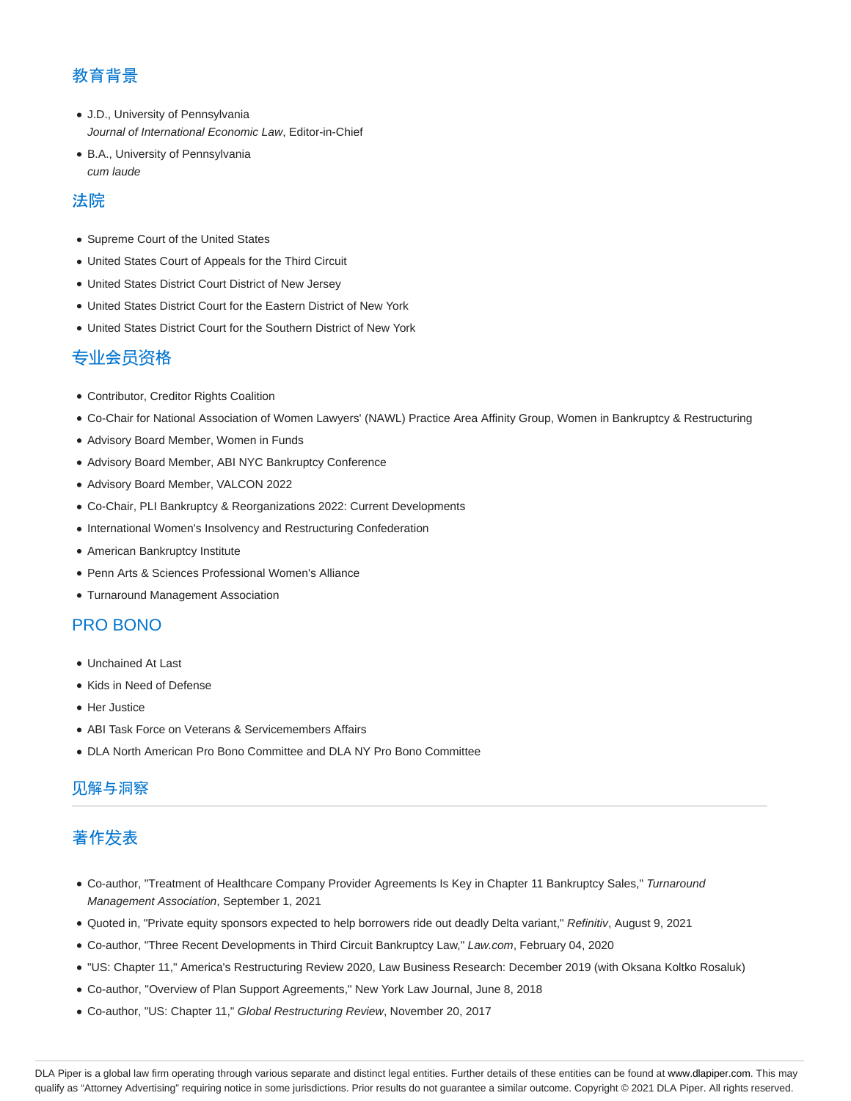# 教育背景

- J.D., University of Pennsylvania Journal of International Economic Law, Editor-in-Chief
- B.A., University of Pennsylvania cum laude

### 法院

- Supreme Court of the United States
- United States Court of Appeals for the Third Circuit
- United States District Court District of New Jersey
- United States District Court for the Eastern District of New York
- United States District Court for the Southern District of New York

## 专业会员资格

- Contributor, Creditor Rights Coalition
- Co-Chair for National Association of Women Lawyers' (NAWL) Practice Area Affinity Group, Women in Bankruptcy & Restructuring
- Advisory Board Member, Women in Funds
- Advisory Board Member, ABI NYC Bankruptcy Conference
- Advisory Board Member, VALCON 2022
- Co-Chair, PLI Bankruptcy & Reorganizations 2022: Current Developments
- $\bullet$  International Women's Insolvency and Restructuring Confederation
- American Bankruptcy Institute
- Penn Arts & Sciences Professional Women's Alliance
- Turnaround Management Association

### PRO BONO

- Unchained At Last
- Kids in Need of Defense
- Her Justice
- ABI Task Force on Veterans & Servicemembers Affairs
- DLA North American Pro Bono Committee and DLA NY Pro Bono Committee

## 见解与洞察

# 著作发表

- Co-author, "Treatment of Healthcare Company Provider Agreements Is Key in Chapter 11 Bankruptcy Sales," Turnaround Management Association, September 1, 2021
- Quoted in, "Private equity sponsors expected to help borrowers ride out deadly Delta variant," Refinitiv, August 9, 2021
- Co-author, "Three Recent Developments in Third Circuit Bankruptcy Law," Law.com, February 04, 2020
- "US: Chapter 11," America's Restructuring Review 2020, Law Business Research: December 2019 (with Oksana Koltko Rosaluk)
- Co-author, "Overview of Plan Support Agreements," New York Law Journal, June 8, 2018
- Co-author, "US: Chapter 11," Global Restructuring Review, November 20, 2017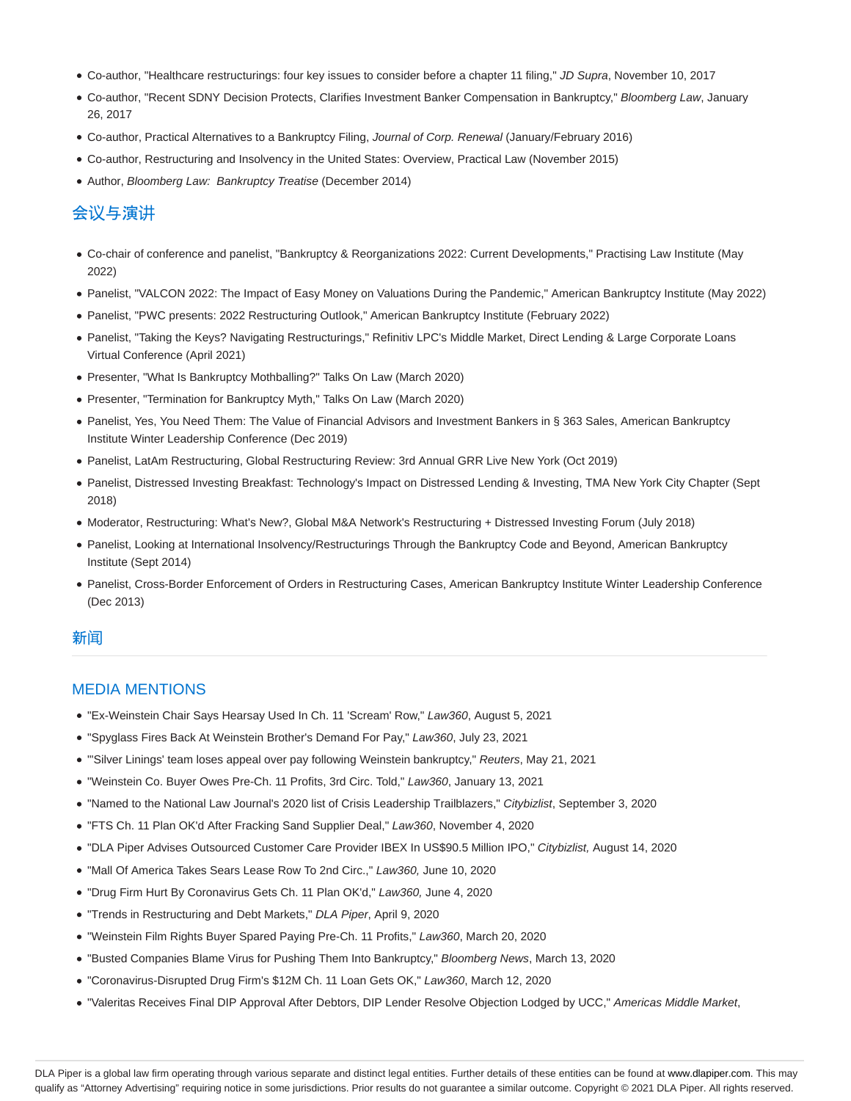- Co-author, "Healthcare restructurings: four key issues to consider before a chapter 11 filing," JD Supra, November 10, 2017
- Co-author, "Recent SDNY Decision Protects, Clarifies Investment Banker Compensation in Bankruptcy," Bloomberg Law, January 26, 2017
- Co-author, Practical Alternatives to a Bankruptcy Filing, Journal of Corp. Renewal (January/February 2016)
- Co-author, Restructuring and Insolvency in the United States: Overview, Practical Law (November 2015)
- Author, Bloomberg Law: Bankruptcy Treatise (December 2014)

# 会议与演讲

- Co-chair of conference and panelist, "Bankruptcy & Reorganizations 2022: Current Developments," Practising Law Institute (May 2022)
- Panelist, "VALCON 2022: The Impact of Easy Money on Valuations During the Pandemic," American Bankruptcy Institute (May 2022)
- Panelist, "PWC presents: 2022 Restructuring Outlook," American Bankruptcy Institute (February 2022)
- Panelist, "Taking the Keys? Navigating Restructurings," Refinitiv LPC's Middle Market, Direct Lending & Large Corporate Loans Virtual Conference (April 2021)
- Presenter, "What Is Bankruptcy Mothballing?" Talks On Law (March 2020)
- Presenter, "Termination for Bankruptcy Myth," Talks On Law (March 2020)
- Panelist, Yes, You Need Them: The Value of Financial Advisors and Investment Bankers in § 363 Sales, American Bankruptcy Institute Winter Leadership Conference (Dec 2019)
- Panelist, LatAm Restructuring, Global Restructuring Review: 3rd Annual GRR Live New York (Oct 2019)
- Panelist, Distressed Investing Breakfast: Technology's Impact on Distressed Lending & Investing, TMA New York City Chapter (Sept 2018)
- Moderator, Restructuring: What's New?, Global M&A Network's Restructuring + Distressed Investing Forum (July 2018)
- Panelist, Looking at International Insolvency/Restructurings Through the Bankruptcy Code and Beyond, American Bankruptcy Institute (Sept 2014)
- Panelist, Cross-Border Enforcement of Orders in Restructuring Cases, American Bankruptcy Institute Winter Leadership Conference (Dec 2013)

#### 新闻

#### MEDIA MENTIONS

- "Ex-Weinstein Chair Says Hearsay Used In Ch. 11 'Scream' Row," Law360, August 5, 2021
- "Spyglass Fires Back At Weinstein Brother's Demand For Pay," Law360, July 23, 2021
- "'Silver Linings' team loses appeal over pay following Weinstein bankruptcy," Reuters, May 21, 2021
- "Weinstein Co. Buyer Owes Pre-Ch. 11 Profits, 3rd Circ. Told," Law360, January 13, 2021
- . "Named to the National Law Journal's 2020 list of Crisis Leadership Trailblazers," Citybizlist, September 3, 2020
- "FTS Ch. 11 Plan OK'd After Fracking Sand Supplier Deal," Law360, November 4, 2020
- "DLA Piper Advises Outsourced Customer Care Provider IBEX In US\$90.5 Million IPO," Citybizlist, August 14, 2020
- "Mall Of America Takes Sears Lease Row To 2nd Circ.," Law360, June 10, 2020
- "Drug Firm Hurt By Coronavirus Gets Ch. 11 Plan OK'd," Law360, June 4, 2020
- "Trends in Restructuring and Debt Markets," DLA Piper, April 9, 2020
- "Weinstein Film Rights Buyer Spared Paying Pre-Ch. 11 Profits," Law360, March 20, 2020
- "Busted Companies Blame Virus for Pushing Them Into Bankruptcy," Bloomberg News, March 13, 2020
- "Coronavirus-Disrupted Drug Firm's \$12M Ch. 11 Loan Gets OK," Law360, March 12, 2020
- . "Valeritas Receives Final DIP Approval After Debtors, DIP Lender Resolve Objection Lodged by UCC," Americas Middle Market,